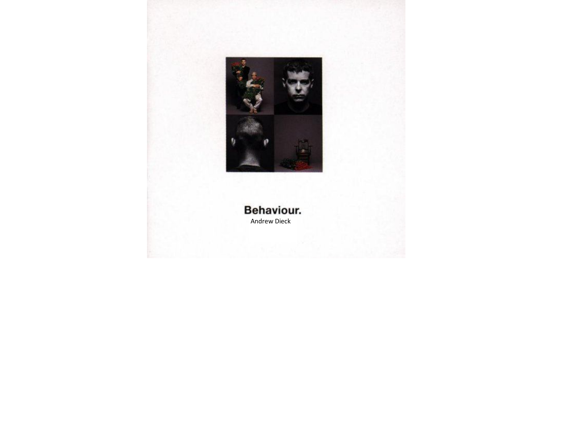

## Behaviour. Andrew Dieck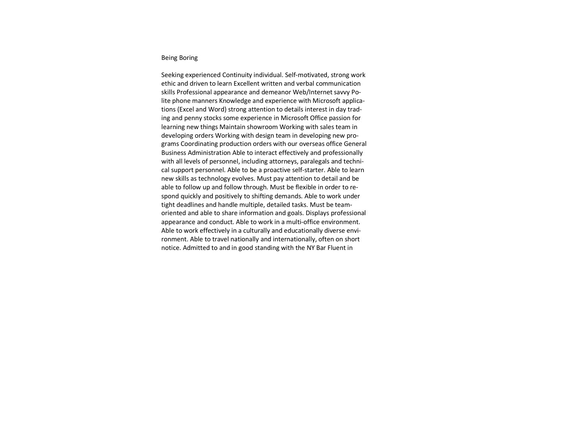## Being Boring

Seeking experienced Continuity individual. Self-motivated, strong work ethic and driven to learn Excellent written and verbal communication skills Professional appearance and demeanor Web/Internet savvy Polite phone manners Knowledge and experience with Microsoft applications (Excel and Word) strong attention to details interest in day trading and penny stocks some experience in Microsoft Office passion for learning new things Maintain showroom Working with sales team in developing orders Working with design team in developing new programs Coordinating production orders with our overseas office General Business Administration Able to interact effectively and professionally with all levels of personnel, including attorneys, paralegals and technical support personnel. Able to be a proactive self-starter. Able to learn new skills as technology evolves. Must pay attention to detail and be able to follow up and follow through. Must be flexible in order to respond quickly and positively to shifting demands. Able to work under tight deadlines and handle multiple, detailed tasks. Must be teamoriented and able to share information and goals. Displays professional appearance and conduct. Able to work in a multi-office environment. Able to work effectively in a culturally and educationally diverse environment. Able to travel nationally and internationally, often on short notice. Admitted to and in good standing with the NY Bar Fluent in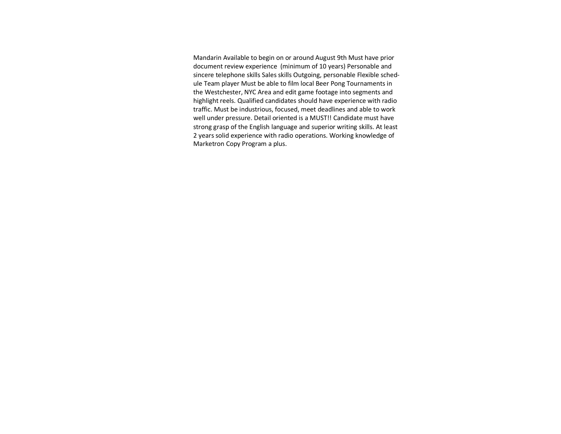Mandarin Available to begin on or around August 9th Must have prior document review experience (minimum of 10 years) Personable and sincere telephone skills Sales skills Outgoing, personable Flexible schedule Team player Must be able to film local Beer Pong Tournaments in the Westchester, NYC Area and edit game footage into segments and highlight reels. Qualified candidates should have experience with radio traffic. Must be industrious, focused, meet deadlines and able to work well under pressure. Detail oriented is a MUST!! Candidate must have strong grasp of the English language and superior writing skills. At least 2 years solid experience with radio operations. Working knowledge of Marketron Copy Program a plus.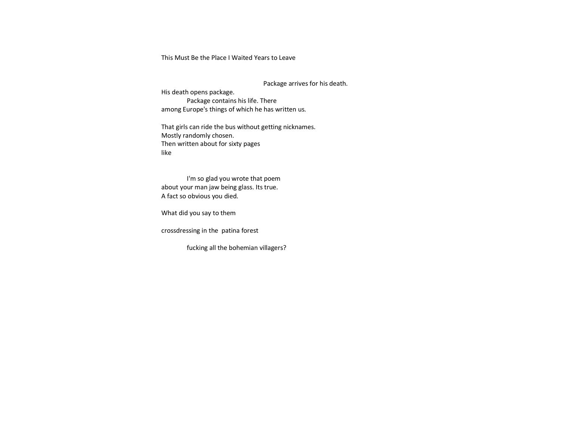This Must Be the Place I Waited Years to Leave

Package arrives for his death.

His death opens package. Package contains his life. There among Europe's things of which he has written us.

That girls can ride the bus without getting nicknames. Mostly randomly chosen. Then written about for sixty pages like

I'm so glad you wrote that poem about your man jaw being glass. Its true. A fact so obvious you died.

What did you say to them

crossdressing in the patina forest

fucking all the bohemian villagers?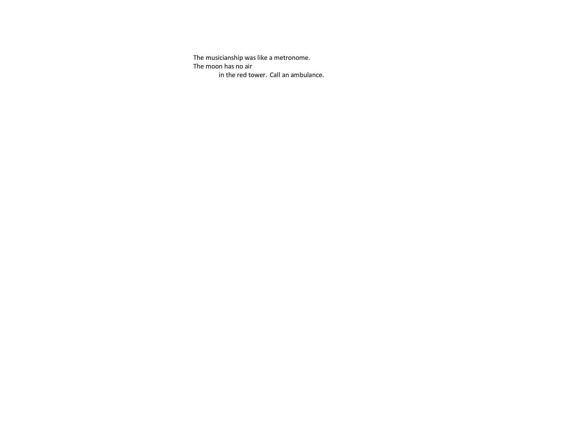The musicianship was like a metronome. The moon has no air in the red tower. Call an ambulance.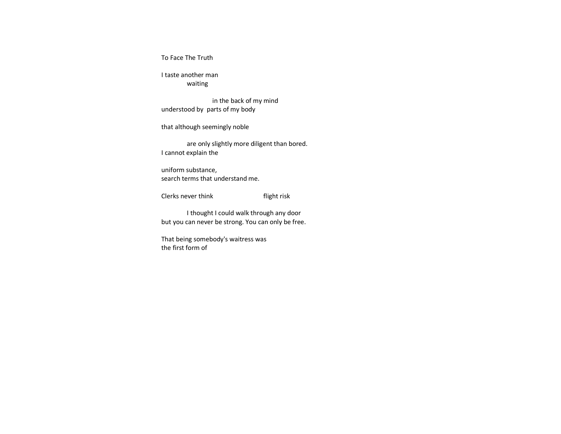To Face The Truth

I taste another man waiting

in the back of my mind understood by parts of my body

that although seemingly noble

are only slightly more diligent than bored. I cannot explain the

uniform substance, search terms that understand me.

Clerks never think flight risk

I thought I could walk through any door but you can never be strong. You can only be free.

That being somebody's waitress was the first form of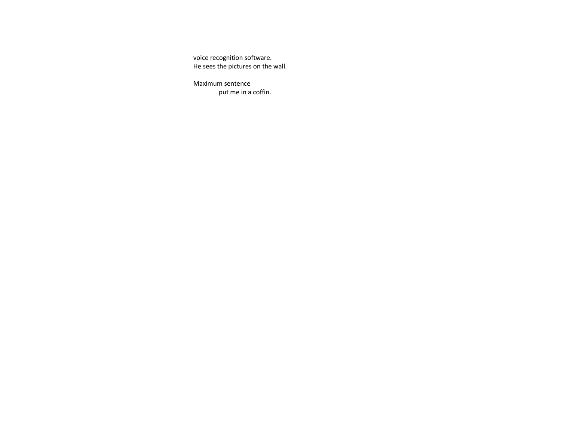voice recognition software. He sees the pictures on the wall.

Maximum sentence put me in a coffin.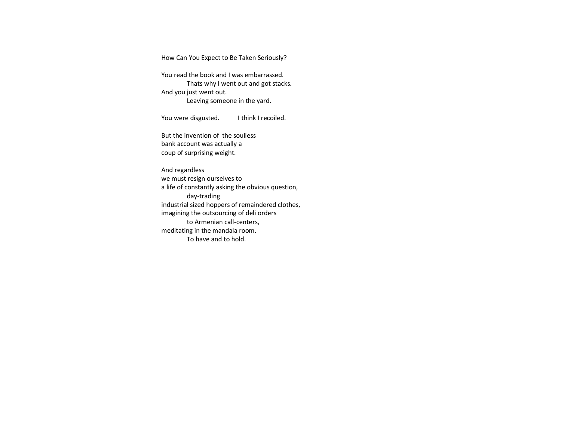How Can You Expect to Be Taken Seriously?

You read the book and I was embarrassed. Thats why I went out and got stacks. And you just went out. Leaving someone in the yard.

You were disgusted. I think I recoiled.

But the invention of the soulless bank account was actually a coup of surprising weight.

And regardless we must resign ourselves to a life of constantly asking the obvious question, day-trading industrial sized hoppers of remaindered clothes, imagining the outsourcing of deli orders to Armenian call-centers, meditating in the mandala room. To have and to hold.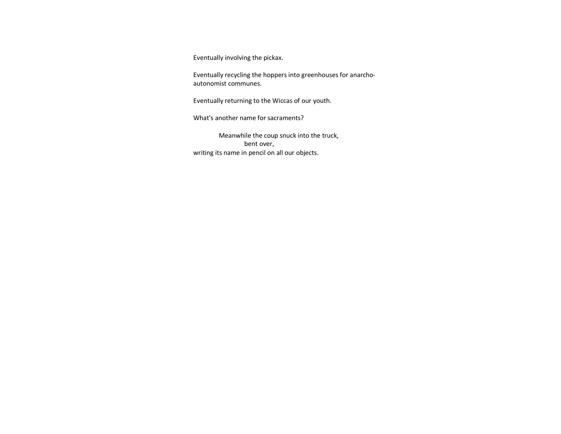Eventually involving the pickax.

Eventually recycling the hoppers into greenhouses for anarchoautonomist communes.

Eventually returning to the Wiccas of our youth.

What's another name for sacraments?

Meanwhile the coup snuck into the truck, bent over, writing its name in pencil on all our objects.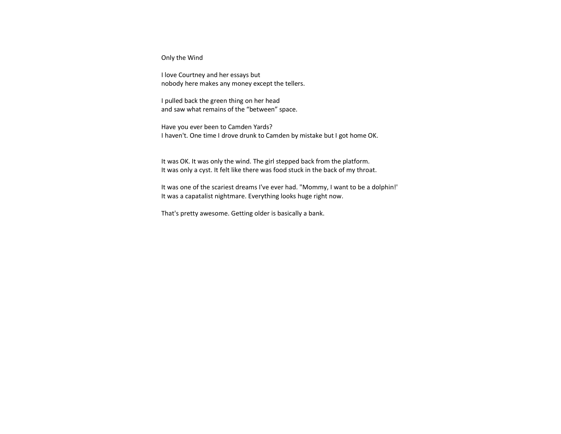Only the Wind

I love Courtney and her essays but nobody here makes any money except the tellers.

I pulled back the green thing on her head and saw what remains of the "between" space.

Have you ever been to Camden Yards? I haven't. One time I drove drunk to Camden by mistake but I got home OK.

It was OK. It was only the wind. The girl stepped back from the platform. It was only a cyst. It felt like there was food stuck in the back of my throat.

It was one of the scariest dreams I've ever had. "Mommy, I want to be a dolphin!' It was a capatalist nightmare. Everything looks huge right now.

That's pretty awesome. Getting older is basically a bank.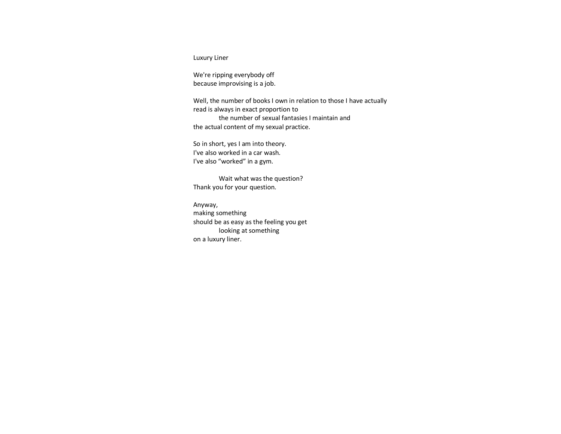Luxury Liner

We're ripping everybody off because improvising is a job.

Well, the number of books I own in relation to those I have actually read is always in exact proportion to the number of sexual fantasies I maintain and the actual content of my sexual practice.

So in short, yes I am into theory. I've also worked in a car wash. I've also "worked" in a gym.

Wait what was the question? Thank you for your question.

Anyway, making something should be as easy as the feeling you get looking at something on a luxury liner.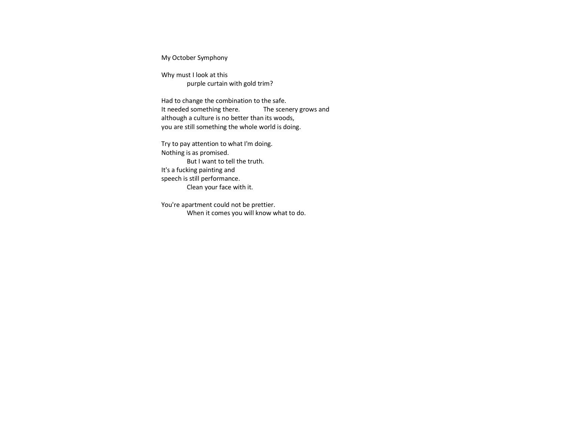My October Symphony

Why must I look at this purple curtain with gold trim?

Had to change the combination to the safe. It needed something there. The scenery grows and although a culture is no better than its woods, you are still something the whole world is doing.

Try to pay attention to what I'm doing. Nothing is as promised. But I want to tell the truth. It's a fucking painting and speech is still performance. Clean your face with it.

You're apartment could not be prettier. When it comes you will know what to do.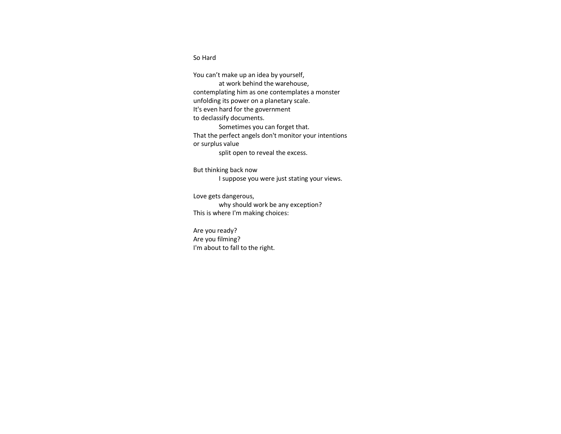So Hard

You can't make up an idea by yourself, at work behind the warehouse, contemplating him as one contemplates a monster unfolding its power on a planetary scale. It's even hard for the government to declassify documents. Sometimes you can forget that. That the perfect angels don't monitor your intentions or surplus value split open to reveal the excess.

But thinking back now

I suppose you were just stating your views.

Love gets dangerous, why should work be any exception? This is where I'm making choices:

Are you ready? Are you filming? I'm about to fall to the right.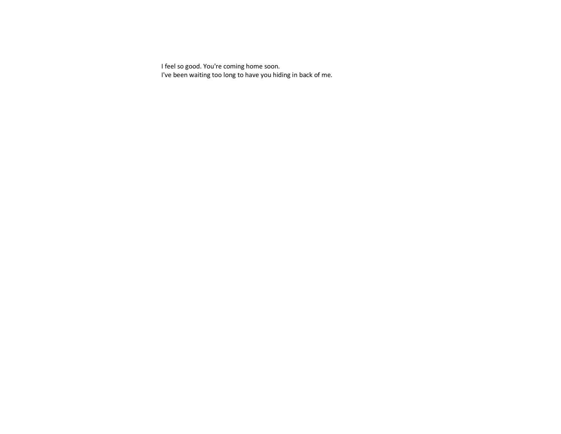I feel so good. You're coming home soon. I've been waiting too long to have you hiding in back of me.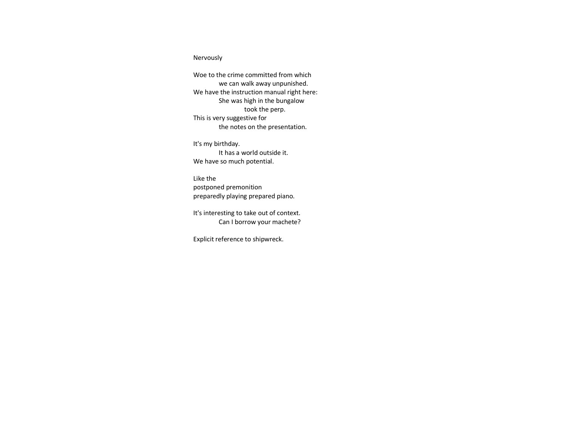## Nervously

Woe to the crime committed from which we can walk away unpunished. We have the instruction manual right here: She was high in the bungalow took the perp. This is very suggestive for the notes on the presentation.

It's my birthday. It has a world outside it. We have so much potential.

Like the postponed premonition preparedly playing prepared piano.

It's interesting to take out of context. Can I borrow your machete?

Explicit reference to shipwreck.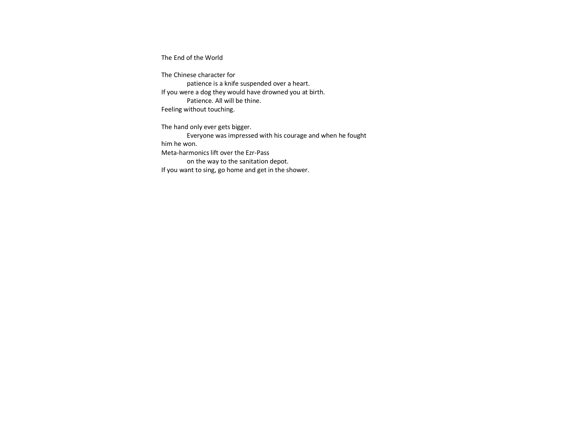The End of the World

The Chinese character for patience is a knife suspended over a heart. If you were a dog they would have drowned you at birth. Patience. All will be thine. Feeling without touching.

The hand only ever gets bigger. Everyone was impressed with his courage and when he fought him he won. Meta-harmonics lift over the Ezr-Pass on the way to the sanitation depot. If you want to sing, go home and get in the shower.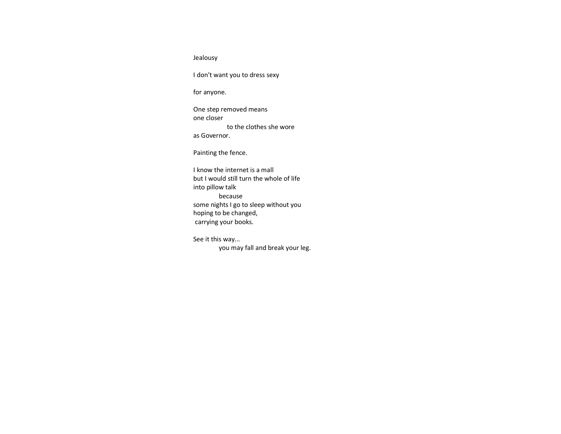Jealousy

I don't want you to dress sexy

for anyone.

One step removed means one closer to the clothes she wore as Governor.

Painting the fence.

I know the internet is a mall but I would still turn the whole of life into pillow talk because some nights I go to sleep without you hoping to be changed, carrying your books.

See it this way... you may fall and break your leg.